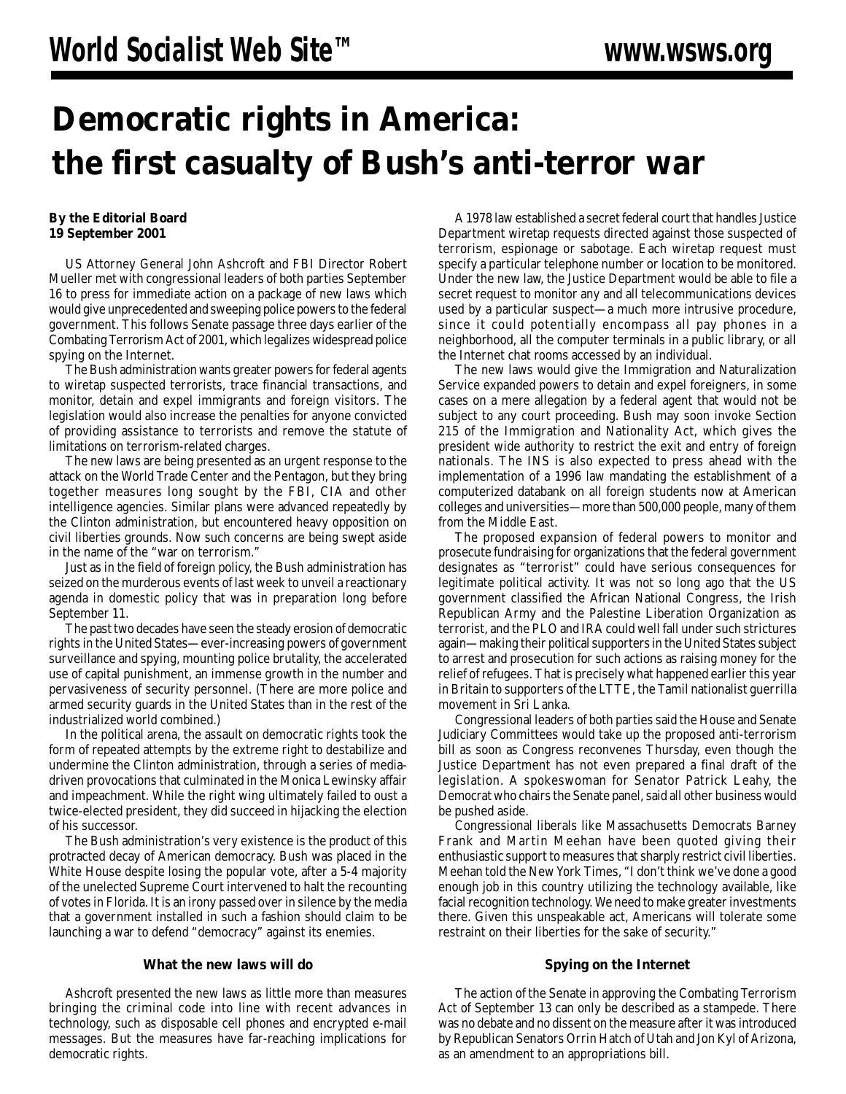## **Democratic rights in America: the first casualty of Bush's anti-terror war**

## **By the Editorial Board 19 September 2001**

US Attorney General John Ashcroft and FBI Director Robert Mueller met with congressional leaders of both parties September 16 to press for immediate action on a package of new laws which would give unprecedented and sweeping police powers to the federal government. This follows Senate passage three days earlier of the Combating Terrorism Act of 2001, which legalizes widespread police spying on the Internet.

The Bush administration wants greater powers for federal agents to wiretap suspected terrorists, trace financial transactions, and monitor, detain and expel immigrants and foreign visitors. The legislation would also increase the penalties for anyone convicted of providing assistance to terrorists and remove the statute of limitations on terrorism-related charges.

The new laws are being presented as an urgent response to the attack on the World Trade Center and the Pentagon, but they bring together measures long sought by the FBI, CIA and other intelligence agencies. Similar plans were advanced repeatedly by the Clinton administration, but encountered heavy opposition on civil liberties grounds. Now such concerns are being swept aside in the name of the "war on terrorism."

Just as in the field of foreign policy, the Bush administration has seized on the murderous events of last week to unveil a reactionary agenda in domestic policy that was in preparation long before September 11.

The past two decades have seen the steady erosion of democratic rights in the United States—ever-increasing powers of government surveillance and spying, mounting police brutality, the accelerated use of capital punishment, an immense growth in the number and pervasiveness of security personnel. (There are more police and armed security guards in the United States than in the rest of the industrialized world combined.)

In the political arena, the assault on democratic rights took the form of repeated attempts by the extreme right to destabilize and undermine the Clinton administration, through a series of mediadriven provocations that culminated in the Monica Lewinsky affair and impeachment. While the right wing ultimately failed to oust a twice-elected president, they did succeed in hijacking the election of his successor.

The Bush administration's very existence is the product of this protracted decay of American democracy. Bush was placed in the White House despite losing the popular vote, after a 5-4 majority of the unelected Supreme Court intervened to halt the recounting of votes in Florida. It is an irony passed over in silence by the media that a government installed in such a fashion should claim to be launching a war to defend "democracy" against its enemies.

## **What the new laws will do**

Ashcroft presented the new laws as little more than measures bringing the criminal code into line with recent advances in technology, such as disposable cell phones and encrypted e-mail messages. But the measures have far-reaching implications for democratic rights.

A 1978 law established a secret federal court that handles Justice Department wiretap requests directed against those suspected of terrorism, espionage or sabotage. Each wiretap request must specify a particular telephone number or location to be monitored. Under the new law, the Justice Department would be able to file a secret request to monitor any and all telecommunications devices used by a particular suspect—a much more intrusive procedure, since it could potentially encompass all pay phones in a neighborhood, all the computer terminals in a public library, or all the Internet chat rooms accessed by an individual.

The new laws would give the Immigration and Naturalization Service expanded powers to detain and expel foreigners, in some cases on a mere allegation by a federal agent that would not be subject to any court proceeding. Bush may soon invoke Section 215 of the Immigration and Nationality Act, which gives the president wide authority to restrict the exit and entry of foreign nationals. The INS is also expected to press ahead with the implementation of a 1996 law mandating the establishment of a computerized databank on all foreign students now at American colleges and universities—more than 500,000 people, many of them from the Middle East.

The proposed expansion of federal powers to monitor and prosecute fundraising for organizations that the federal government designates as "terrorist" could have serious consequences for legitimate political activity. It was not so long ago that the US government classified the African National Congress, the Irish Republican Army and the Palestine Liberation Organization as terrorist, and the PLO and IRA could well fall under such strictures again—making their political supporters in the United States subject to arrest and prosecution for such actions as raising money for the relief of refugees. That is precisely what happened earlier this year in Britain to supporters of the LTTE, the Tamil nationalist guerrilla movement in Sri Lanka.

Congressional leaders of both parties said the House and Senate Judiciary Committees would take up the proposed anti-terrorism bill as soon as Congress reconvenes Thursday, even though the Justice Department has not even prepared a final draft of the legislation. A spokeswoman for Senator Patrick Leahy, the Democrat who chairs the Senate panel, said all other business would be pushed aside.

Congressional liberals like Massachusetts Democrats Barney Frank and Martin Meehan have been quoted giving their enthusiastic support to measures that sharply restrict civil liberties. Meehan told the New York Times, "I don't think we've done a good enough job in this country utilizing the technology available, like facial recognition technology. We need to make greater investments there. Given this unspeakable act, Americans will tolerate some restraint on their liberties for the sake of security."

## **Spying on the Internet**

The action of the Senate in approving the Combating Terrorism Act of September 13 can only be described as a stampede. There was no debate and no dissent on the measure after it was introduced by Republican Senators Orrin Hatch of Utah and Jon Kyl of Arizona, as an amendment to an appropriations bill.